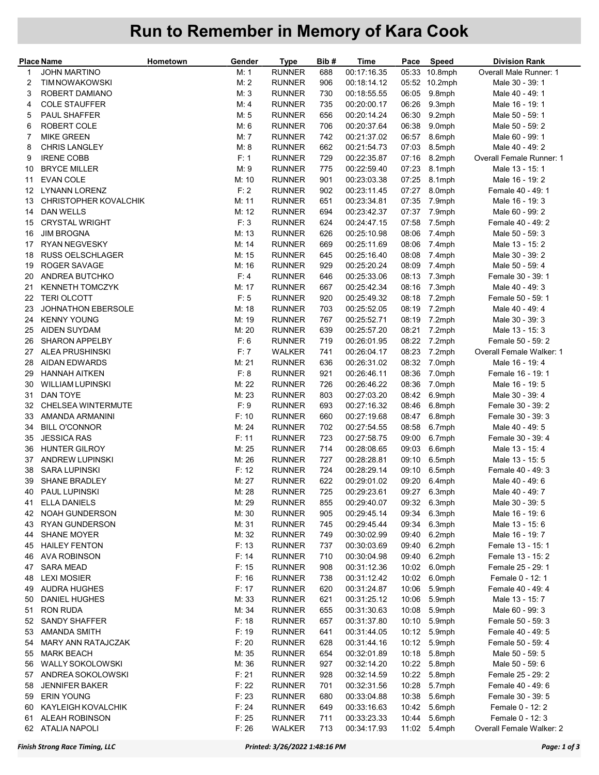## Run to Remember in Memory of Kara Cook

|    | <b>Place Name</b>         | Hometown | Gender | <b>Type</b>   | Bib# | Time        | Pace  | Speed         | <b>Division Rank</b>     |
|----|---------------------------|----------|--------|---------------|------|-------------|-------|---------------|--------------------------|
| 1  | <b>JOHN MARTINO</b>       |          | M: 1   | <b>RUNNER</b> | 688  | 00:17:16.35 | 05:33 | 10.8mph       | Overall Male Runner: 1   |
| 2  | <b>TIM NOWAKOWSKI</b>     |          | M:2    | <b>RUNNER</b> | 906  | 00:18:14.12 |       | 05:52 10.2mph | Male 30 - 39: 1          |
| 3  | ROBERT DAMIANO            |          | M:3    | <b>RUNNER</b> | 730  | 00:18:55.55 | 06:05 | 9.8mph        | Male 40 - 49: 1          |
| 4  | <b>COLE STAUFFER</b>      |          | M: 4   | <b>RUNNER</b> | 735  | 00:20:00.17 | 06:26 | 9.3mph        | Male 16 - 19: 1          |
| 5  | <b>PAUL SHAFFER</b>       |          | M:5    | <b>RUNNER</b> | 656  | 00:20:14.24 | 06:30 | 9.2mph        | Male 50 - 59: 1          |
| 6  | ROBERT COLE               |          | M: 6   | <b>RUNNER</b> | 706  | 00:20:37.64 | 06:38 | 9.0mph        | Male 50 - 59: 2          |
| 7  | <b>MIKE GREEN</b>         |          | M: 7   | <b>RUNNER</b> | 742  | 00:21:37.02 | 06:57 | 8.6mph        | Male 60 - 99: 1          |
| 8  | <b>CHRIS LANGLEY</b>      |          | M: 8   | <b>RUNNER</b> | 662  | 00:21:54.73 | 07:03 | 8.5mph        | Male 40 - 49: 2          |
| 9  | <b>IRENE COBB</b>         |          | F: 1   | <b>RUNNER</b> | 729  | 00:22:35.87 | 07:16 | 8.2mph        | Overall Female Runner: 1 |
| 10 | <b>BRYCE MILLER</b>       |          | M:9    | <b>RUNNER</b> | 775  | 00:22:59.40 | 07:23 | 8.1mph        | Male 13 - 15: 1          |
| 11 | <b>EVAN COLE</b>          |          | M: 10  | <b>RUNNER</b> | 901  | 00:23:03.38 | 07:25 | 8.1mph        | Male 16 - 19: 2          |
| 12 | <b>LYNANN LORENZ</b>      |          | F: 2   | <b>RUNNER</b> | 902  | 00:23:11.45 | 07:27 | 8.0mph        | Female 40 - 49: 1        |
| 13 | CHRISTOPHER KOVALCHIK     |          | M: 11  | <b>RUNNER</b> | 651  | 00:23:34.81 | 07:35 | 7.9mph        | Male 16 - 19: 3          |
| 14 | <b>DAN WELLS</b>          |          | M: 12  | <b>RUNNER</b> | 694  | 00:23:42.37 | 07:37 | 7.9mph        | Male 60 - 99: 2          |
| 15 | <b>CRYSTAL WRIGHT</b>     |          | F:3    | <b>RUNNER</b> | 624  | 00:24:47.15 | 07:58 | 7.5mph        | Female 40 - 49: 2        |
| 16 | <b>JIM BROGNA</b>         |          | M: 13  | <b>RUNNER</b> | 626  | 00:25:10.98 | 08:06 | 7.4mph        | Male 50 - 59: 3          |
| 17 | <b>RYAN NEGVESKY</b>      |          | M: 14  | <b>RUNNER</b> | 669  | 00:25:11.69 | 08:06 | 7.4mph        | Male 13 - 15: 2          |
| 18 | <b>RUSS OELSCHLAGER</b>   |          | M: 15  | <b>RUNNER</b> | 645  | 00:25:16.40 | 08:08 | 7.4mph        | Male 30 - 39: 2          |
| 19 | ROGER SAVAGE              |          | M: 16  | <b>RUNNER</b> | 929  | 00:25:20.24 | 08:09 | 7.4mph        | Male 50 - 59: 4          |
| 20 | ANDREA BUTCHKO            |          | F: 4   | <b>RUNNER</b> | 646  | 00:25:33.06 | 08:13 | 7.3mph        | Female 30 - 39: 1        |
| 21 | <b>KENNETH TOMCZYK</b>    |          | M: 17  | <b>RUNNER</b> | 667  | 00:25:42.34 | 08:16 | 7.3mph        | Male 40 - 49: 3          |
| 22 | <b>TERI OLCOTT</b>        |          | F: 5   | <b>RUNNER</b> | 920  | 00:25:49.32 | 08:18 | 7.2mph        | Female 50 - 59: 1        |
| 23 | <b>JOHNATHON EBERSOLE</b> |          | M: 18  | <b>RUNNER</b> | 703  | 00:25:52.05 | 08:19 | 7.2mph        | Male 40 - 49: 4          |
| 24 | <b>KENNY YOUNG</b>        |          | M: 19  | <b>RUNNER</b> | 767  | 00:25:52.71 | 08:19 | 7.2mph        | Male 30 - 39: 3          |
| 25 | <b>AIDEN SUYDAM</b>       |          | M: 20  | <b>RUNNER</b> | 639  | 00:25:57.20 | 08:21 | 7.2mph        | Male 13 - 15: 3          |
| 26 | <b>SHARON APPELBY</b>     |          | F: 6   | <b>RUNNER</b> | 719  | 00:26:01.95 | 08:22 | 7.2mph        | Female 50 - 59: 2        |
| 27 | <b>ALEA PRUSHINSKI</b>    |          | F: 7   | <b>WALKER</b> | 741  | 00:26:04.17 | 08:23 | 7.2mph        | Overall Female Walker: 1 |
| 28 | <b>AIDAN EDWARDS</b>      |          | M: 21  | <b>RUNNER</b> | 636  | 00:26:31.02 | 08:32 | 7.0mph        | Male 16 - 19: 4          |
| 29 | <b>HANNAH AITKEN</b>      |          | F: 8   | <b>RUNNER</b> | 921  | 00:26:46.11 | 08:36 | 7.0mph        | Female 16 - 19: 1        |
| 30 | <b>WILLIAM LUPINSKI</b>   |          | M: 22  | <b>RUNNER</b> | 726  | 00:26:46.22 | 08:36 | 7.0mph        | Male 16 - 19: 5          |
| 31 | DAN TOYE                  |          | M: 23  | <b>RUNNER</b> | 803  | 00:27:03.20 | 08:42 | 6.9mph        | Male 30 - 39: 4          |
| 32 | <b>CHELSEA WINTERMUTE</b> |          | F: 9   | <b>RUNNER</b> | 693  | 00:27:16.32 | 08:46 | 6.8mph        | Female 30 - 39: 2        |
| 33 | AMANDA ARMANINI           |          | F: 10  | <b>RUNNER</b> | 660  | 00:27:19.68 | 08:47 | 6.8mph        | Female 30 - 39: 3        |
| 34 | <b>BILL O'CONNOR</b>      |          | M: 24  | <b>RUNNER</b> | 702  | 00:27:54.55 | 08:58 | 6.7mph        | Male 40 - 49: 5          |
| 35 | <b>JESSICA RAS</b>        |          | F: 11  | <b>RUNNER</b> | 723  | 00:27:58.75 | 09:00 | 6.7mph        | Female 30 - 39: 4        |
| 36 | <b>HUNTER GILROY</b>      |          | M: 25  | <b>RUNNER</b> | 714  | 00:28:08.65 | 09:03 | 6.6mph        | Male 13 - 15: 4          |
| 37 | <b>ANDREW LUPINSKI</b>    |          | M: 26  | <b>RUNNER</b> | 727  | 00:28:28.81 | 09:10 | 6.5mph        | Male 13 - 15: 5          |
| 38 | <b>SARA LUPINSKI</b>      |          | F: 12  | <b>RUNNER</b> | 724  | 00:28:29.14 | 09:10 | 6.5mph        | Female 40 - 49: 3        |
| 39 | <b>SHANE BRADLEY</b>      |          | M: 27  | <b>RUNNER</b> | 622  | 00:29:01.02 |       | 09:20 6.4mph  | Male 40 - 49: 6          |
|    | 40 PAUL LUPINSKI          |          | M: 28  | <b>RUNNER</b> | 725  | 00:29:23.61 |       | 09:27 6.3mph  | Male 40 - 49: 7          |
| 41 | <b>ELLA DANIELS</b>       |          | M: 29  | <b>RUNNER</b> | 855  | 00:29:40.07 |       | 09:32 6.3mph  | Male 30 - 39: 5          |
| 42 | <b>NOAH GUNDERSON</b>     |          | M: 30  | <b>RUNNER</b> | 905  | 00:29:45.14 | 09:34 | 6.3mph        | Male 16 - 19: 6          |
| 43 | <b>RYAN GUNDERSON</b>     |          | M: 31  | <b>RUNNER</b> | 745  | 00:29:45.44 | 09:34 | 6.3mph        | Male 13 - 15: 6          |
| 44 | <b>SHANE MOYER</b>        |          | M: 32  | <b>RUNNER</b> | 749  | 00:30:02.99 | 09:40 | 6.2mph        | Male 16 - 19: 7          |
| 45 | <b>HAILEY FENTON</b>      |          | F: 13  | <b>RUNNER</b> | 737  | 00:30:03.69 | 09:40 | 6.2mph        | Female 13 - 15: 1        |
| 46 | <b>AVA ROBINSON</b>       |          | F: 14  | <b>RUNNER</b> | 710  | 00:30:04.98 | 09:40 | 6.2mph        | Female 13 - 15: 2        |
| 47 | <b>SARA MEAD</b>          |          | F: 15  | <b>RUNNER</b> | 908  | 00:31:12.36 | 10:02 | 6.0mph        | Female 25 - 29: 1        |
| 48 | <b>LEXI MOSIER</b>        |          | F: 16  | <b>RUNNER</b> | 738  | 00:31:12.42 | 10:02 | 6.0mph        | Female 0 - 12: 1         |
| 49 | <b>AUDRA HUGHES</b>       |          | F: 17  | <b>RUNNER</b> | 620  | 00:31:24.87 | 10:06 | 5.9mph        | Female 40 - 49: 4        |
| 50 | <b>DANIEL HUGHES</b>      |          | M: 33  | <b>RUNNER</b> | 621  | 00:31:25.12 | 10:06 | 5.9mph        | Male 13 - 15: 7          |
| 51 | <b>RON RUDA</b>           |          | M: 34  | <b>RUNNER</b> | 655  | 00:31:30.63 | 10:08 | 5.9mph        | Male 60 - 99: 3          |
| 52 | <b>SANDY SHAFFER</b>      |          | F: 18  | <b>RUNNER</b> | 657  | 00:31:37.80 | 10:10 | 5.9mph        | Female 50 - 59: 3        |
| 53 | AMANDA SMITH              |          | F: 19  | <b>RUNNER</b> | 641  | 00:31:44.05 | 10:12 | 5.9mph        | Female 40 - 49: 5        |
| 54 | MARY ANN RATAJCZAK        |          | F: 20  | <b>RUNNER</b> | 628  | 00:31:44.16 |       | 10:12 5.9mph  | Female 50 - 59: 4        |
| 55 | <b>MARK BEACH</b>         |          | M: 35  | <b>RUNNER</b> | 654  | 00:32:01.89 | 10:18 | 5.8mph        | Male 50 - 59: 5          |
| 56 | <b>WALLY SOKOLOWSKI</b>   |          | M: 36  | <b>RUNNER</b> | 927  | 00:32:14.20 | 10:22 | 5.8mph        | Male 50 - 59: 6          |
| 57 | ANDREA SOKOLOWSKI         |          | F: 21  | <b>RUNNER</b> | 928  | 00:32:14.59 | 10:22 | 5.8mph        | Female 25 - 29: 2        |
| 58 | <b>JENNIFER BAKER</b>     |          | F: 22  | <b>RUNNER</b> | 701  | 00:32:31.56 | 10:28 | 5.7mph        | Female 40 - 49: 6        |
| 59 | <b>ERIN YOUNG</b>         |          | F: 23  | <b>RUNNER</b> | 680  | 00:33:04.88 | 10:38 | 5.6mph        | Female 30 - 39: 5        |
| 60 | KAYLEIGH KOVALCHIK        |          | F: 24  | <b>RUNNER</b> | 649  | 00:33:16.63 | 10:42 | 5.6mph        | Female 0 - 12: 2         |
| 61 | ALEAH ROBINSON            |          | F: 25  | <b>RUNNER</b> | 711  | 00:33:23.33 | 10:44 | 5.6mph        | Female 0 - 12: 3         |
| 62 | <b>ATALIA NAPOLI</b>      |          | F: 26  | <b>WALKER</b> | 713  | 00:34:17.93 |       | 11:02 5.4mph  | Overall Female Walker: 2 |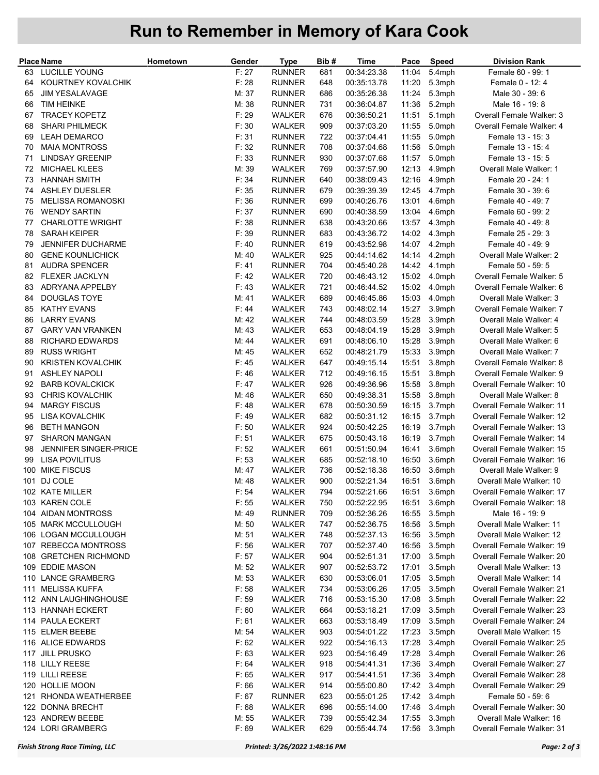## Run to Remember in Memory of Kara Cook

|     | <b>Place Name</b>                        | Hometown | Gender | Type          | Bib# | <b>Time</b> | Pace  | <b>Speed</b>     | Division Rank                                          |
|-----|------------------------------------------|----------|--------|---------------|------|-------------|-------|------------------|--------------------------------------------------------|
| 63  | LUCILLE YOUNG                            |          | F: 27  | <b>RUNNER</b> | 681  | 00:34:23.38 | 11:04 | 5.4mph           | Female 60 - 99: 1                                      |
| 64  | KOURTNEY KOVALCHIK                       |          | F: 28  | <b>RUNNER</b> | 648  | 00:35:13.78 | 11:20 | 5.3mph           | Female 0 - 12: 4                                       |
| 65  | <b>JIM YESALAVAGE</b>                    |          | M: 37  | <b>RUNNER</b> | 686  | 00:35:26.38 | 11:24 | 5.3mph           | Male 30 - 39: 6                                        |
| 66  | <b>TIM HEINKE</b>                        |          | M: 38  | <b>RUNNER</b> | 731  | 00:36:04.87 | 11:36 | 5.2mph           | Male 16 - 19: 8                                        |
| 67  | <b>TRACEY KOPETZ</b>                     |          | F: 29  | <b>WALKER</b> | 676  | 00:36:50.21 | 11:51 | 5.1mph           | Overall Female Walker: 3                               |
| 68  | <b>SHARI PHILMECK</b>                    |          | F: 30  | <b>WALKER</b> | 909  | 00:37:03.20 | 11:55 | 5.0mph           | Overall Female Walker: 4                               |
| 69  | <b>LEAH DEMARCO</b>                      |          | F: 31  | <b>RUNNER</b> | 722  | 00:37:04.41 | 11:55 | 5.0mph           | Female 13 - 15: 3                                      |
| 70  | <b>MAIA MONTROSS</b>                     |          | F: 32  | <b>RUNNER</b> | 708  | 00:37:04.68 | 11:56 | 5.0mph           | Female 13 - 15: 4                                      |
| 71  | <b>LINDSAY GREENIP</b>                   |          | F: 33  | <b>RUNNER</b> | 930  | 00:37:07.68 | 11:57 | 5.0mph           | Female 13 - 15: 5                                      |
| 72  | <b>MICHAEL KLEES</b>                     |          | M: 39  | WALKER        | 769  | 00:37:57.90 | 12:13 | 4.9mph           | Overall Male Walker: 1                                 |
| 73  | <b>HANNAH SMITH</b>                      |          | F: 34  | <b>RUNNER</b> | 640  | 00:38:09.43 | 12:16 | 4.9mph           | Female 20 - 24: 1                                      |
| 74  | <b>ASHLEY DUESLER</b>                    |          | F: 35  | <b>RUNNER</b> | 679  | 00:39:39.39 | 12:45 | 4.7mph           | Female 30 - 39: 6                                      |
| 75  | <b>MELISSA ROMANOSKI</b>                 |          | F: 36  | <b>RUNNER</b> | 699  | 00:40:26.76 | 13:01 | 4.6mph           | Female 40 - 49: 7                                      |
| 76  | <b>WENDY SARTIN</b>                      |          | F: 37  | <b>RUNNER</b> | 690  | 00:40:38.59 | 13:04 | 4.6mph           | Female 60 - 99: 2                                      |
| 77  | <b>CHARLOTTE WRIGHT</b>                  |          | F: 38  | <b>RUNNER</b> | 638  | 00:43:20.66 | 13:57 | 4.3mph           | Female 40 - 49: 8                                      |
| 78  | <b>SARAH KEIPER</b>                      |          | F: 39  | <b>RUNNER</b> | 683  | 00:43:36.72 | 14:02 | 4.3mph           | Female 25 - 29: 3                                      |
| 79  | JENNIFER DUCHARME                        |          | F: 40  | <b>RUNNER</b> | 619  | 00:43:52.98 | 14:07 | 4.2mph           | Female 40 - 49: 9                                      |
| 80  | <b>GENE KOUNLICHICK</b>                  |          | M: 40  | <b>WALKER</b> | 925  | 00:44:14.62 | 14:14 | 4.2mph           | Overall Male Walker: 2                                 |
| 81  | AUDRA SPENCER                            |          | F: 41  | <b>RUNNER</b> | 704  | 00:45:40.28 | 14:42 | 4.1mph           | Female 50 - 59: 5                                      |
| 82  | <b>FLEXER JACKLYN</b>                    |          | F: 42  | <b>WALKER</b> | 720  | 00:46:43.12 | 15:02 |                  | Overall Female Walker: 5                               |
| 83  | ADRYANA APPELBY                          |          | F:43   | <b>WALKER</b> | 721  | 00:46:44.52 | 15:02 | 4.0mph<br>4.0mph | Overall Female Walker: 6                               |
| 84  | DOUGLAS TOYE                             |          | M: 41  | WALKER        | 689  | 00:46:45.86 | 15:03 | 4.0mph           | Overall Male Walker: 3                                 |
|     |                                          |          |        |               |      |             |       |                  | Overall Female Walker: 7                               |
| 85  | <b>KATHY EVANS</b><br><b>LARRY EVANS</b> |          | F:44   | <b>WALKER</b> | 743  | 00:48:02.14 | 15:27 | 3.9mph           | Overall Male Walker: 4                                 |
| 86  |                                          |          | M: 42  | <b>WALKER</b> | 744  | 00:48:03.59 | 15:28 | 3.9mph           |                                                        |
| 87  | <b>GARY VAN VRANKEN</b>                  |          | M: 43  | WALKER        | 653  | 00:48:04.19 | 15:28 | 3.9mph           | Overall Male Walker: 5                                 |
| 88  | <b>RICHARD EDWARDS</b>                   |          | M: 44  | <b>WALKER</b> | 691  | 00:48:06.10 | 15:28 | 3.9mph           | Overall Male Walker: 6                                 |
| 89  | <b>RUSS WRIGHT</b>                       |          | M: 45  | <b>WALKER</b> | 652  | 00:48:21.79 | 15:33 | 3.9mph           | Overall Male Walker: 7                                 |
| 90  | <b>KRISTEN KOVALCHIK</b>                 |          | F: 45  | WALKER        | 647  | 00:49:15.14 | 15:51 | 3.8mph           | Overall Female Walker: 8                               |
| 91  | <b>ASHLEY NAPOLI</b>                     |          | F: 46  | <b>WALKER</b> | 712  | 00:49:16.15 | 15:51 | 3.8mph           | Overall Female Walker: 9                               |
| 92  | <b>BARB KOVALCKICK</b>                   |          | F: 47  | <b>WALKER</b> | 926  | 00:49:36.96 | 15:58 | 3.8mph           | Overall Female Walker: 10                              |
| 93  | <b>CHRIS KOVALCHIK</b>                   |          | M: 46  | WALKER        | 650  | 00:49:38.31 | 15:58 | 3.8mph           | Overall Male Walker: 8                                 |
| 94  | <b>MARGY FISCUS</b><br>LISA KOVALCHIK    |          | F: 48  | <b>WALKER</b> | 678  | 00:50:30.59 | 16:15 | 3.7mph           | Overall Female Walker: 11                              |
| 95  |                                          |          | F: 49  | <b>WALKER</b> | 682  | 00:50:31.12 | 16:15 | 3.7mph           | Overall Female Walker: 12                              |
| 96  | <b>BETH MANGON</b>                       |          | F: 50  | WALKER        | 924  | 00:50:42.25 | 16:19 | 3.7mph           | Overall Female Walker: 13                              |
| 97  | <b>SHARON MANGAN</b>                     |          | F: 51  | <b>WALKER</b> | 675  | 00:50:43.18 | 16:19 | 3.7mph           | Overall Female Walker: 14                              |
| 98  | <b>JENNIFER SINGER-PRICE</b>             |          | F: 52  | WALKER        | 661  | 00:51:50.94 | 16:41 | 3.6mph           | Overall Female Walker: 15<br>Overall Female Walker: 16 |
| 99  | LISA POVILITUS                           |          | F: 53  | WALKER        | 685  | 00:52:18.10 | 16:50 | 3.6mph           |                                                        |
| 100 | <b>MIKE FISCUS</b>                       |          | M: 47  | <b>WALKER</b> | 736  | 00:52:18.38 | 16:50 | 3.6mph           | Overall Male Walker: 9                                 |
|     | 101 DJ COLE                              |          | M: 48  | <b>WALKER</b> | 900  | 00:52:21.34 | 16:51 | 3.6mph           | Overall Male Walker: 10                                |
|     | 102 KATE MILLER                          |          | F: 54  | <b>WALKER</b> | 794  | 00:52:21.66 |       | 16:51 3.6mph     | Overall Female Walker: 17                              |
|     | 103 KAREN COLE                           |          | F: 55  | WALKER        | 750  | 00:52:22.95 | 16:51 | 3.6mph           | Overall Female Walker: 18                              |
|     | 104 AIDAN MONTROSS                       |          | M: 49  | <b>RUNNER</b> | 709  | 00:52:36.26 | 16:55 | 3.5mph           | Male 16 - 19: 9                                        |
|     | 105 MARK MCCULLOUGH                      |          | M: 50  | WALKER        | 747  | 00:52:36.75 | 16:56 | 3.5mph           | Overall Male Walker: 11                                |
|     | 106 LOGAN MCCULLOUGH                     |          | M: 51  | WALKER        | 748  | 00:52:37.13 | 16:56 | 3.5mph           | Overall Male Walker: 12                                |
|     | 107 REBECCA MONTROSS                     |          | F: 56  | <b>WALKER</b> | 707  | 00:52:37.40 | 16:56 | 3.5mph           | Overall Female Walker: 19                              |
|     | 108 GRETCHEN RICHMOND                    |          | F: 57  | WALKER        | 904  | 00:52:51.31 | 17:00 | 3.5mph           | Overall Female Walker: 20                              |
|     | 109 EDDIE MASON                          |          | M: 52  | <b>WALKER</b> | 907  | 00:52:53.72 | 17:01 | 3.5mph           | Overall Male Walker: 13                                |
|     | 110 LANCE GRAMBERG                       |          | M: 53  | <b>WALKER</b> | 630  | 00:53:06.01 | 17:05 | 3.5mph           | Overall Male Walker: 14                                |
|     | 111 MELISSA KUFFA                        |          | F: 58  | WALKER        | 734  | 00:53:06.26 | 17:05 | 3.5mph           | Overall Female Walker: 21                              |
|     | 112 ANN LAUGHINGHOUSE                    |          | F: 59  | <b>WALKER</b> | 716  | 00:53:15.30 | 17:08 | 3.5mph           | Overall Female Walker: 22                              |
|     | 113 HANNAH ECKERT                        |          | F: 60  | <b>WALKER</b> | 664  | 00:53:18.21 | 17:09 | 3.5mph           | Overall Female Walker: 23                              |
|     | 114 PAULA ECKERT                         |          | F: 61  | WALKER        | 663  | 00:53:18.49 | 17:09 | 3.5mph           | Overall Female Walker: 24                              |
|     | 115 ELMER BEEBE                          |          | M: 54  | <b>WALKER</b> | 903  | 00:54:01.22 | 17:23 | 3.5mph           | Overall Male Walker: 15                                |
|     | 116 ALICE EDWARDS                        |          | F: 62  | WALKER        | 922  | 00:54:16.13 | 17:28 | 3.4mph           | Overall Female Walker: 25                              |
|     | 117 JILL PRUSKO                          |          | F: 63  | WALKER        | 923  | 00:54:16.49 | 17:28 | 3.4mph           | Overall Female Walker: 26                              |
|     | 118 LILLY REESE                          |          | F: 64  | <b>WALKER</b> | 918  | 00:54:41.31 | 17:36 | 3.4mph           | Overall Female Walker: 27                              |
|     | 119 LILLI REESE                          |          | F: 65  | <b>WALKER</b> | 917  | 00:54:41.51 | 17:36 | 3.4mph           | Overall Female Walker: 28                              |
|     | 120 HOLLIE MOON                          |          | F: 66  | WALKER        | 914  | 00:55:00.80 | 17:42 | 3.4mph           | Overall Female Walker: 29                              |
| 121 | RHONDA WEATHERBEE                        |          | F: 67  | <b>RUNNER</b> | 623  | 00:55:01.25 | 17:42 | 3.4mph           | Female 50 - 59: 6                                      |
|     | 122 DONNA BRECHT                         |          | F: 68  | WALKER        | 696  | 00:55:14.00 | 17:46 | 3.4mph           | Overall Female Walker: 30                              |
|     | 123 ANDREW BEEBE                         |          | M: 55  | WALKER        | 739  | 00:55:42.34 | 17:55 | 3.3mph           | Overall Male Walker: 16                                |
|     | 124 LORI GRAMBERG                        |          | F: 69  | WALKER        | 629  | 00:55:44.74 | 17:56 | 3.3mph           | Overall Female Walker: 31                              |